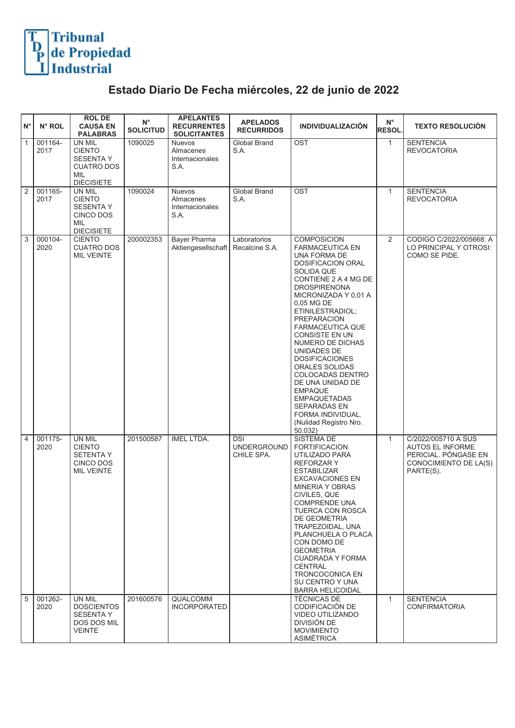## Tribunal<br>de Propiedad<br>Industrial

## **Estado Diario De Fecha miércoles, 22 de junio de 2022**

| $N^{\circ}$    | N° ROL          | <b>ROL DE</b><br><b>CAUSA EN</b><br><b>PALABRAS</b>                                                        | $N^{\circ}$<br><b>SOLICITUD</b> | <b>APELANTES</b><br><b>RECURRENTES</b><br><b>SOLICITANTES</b> | <b>APELADOS</b><br><b>RECURRIDOS</b>           | <b>INDIVIDUALIZACIÓN</b>                                                                                                                                                                                                                                                                                                                                                                                                                                                                                             | $\mathsf{N}^\circ$<br>RESOL. | <b>TEXTO RESOLUCIÓN</b>                                                                               |
|----------------|-----------------|------------------------------------------------------------------------------------------------------------|---------------------------------|---------------------------------------------------------------|------------------------------------------------|----------------------------------------------------------------------------------------------------------------------------------------------------------------------------------------------------------------------------------------------------------------------------------------------------------------------------------------------------------------------------------------------------------------------------------------------------------------------------------------------------------------------|------------------------------|-------------------------------------------------------------------------------------------------------|
| $\overline{1}$ | 001164-<br>2017 | <b>UN MIL</b><br><b>CIENTO</b><br><b>SESENTA Y</b><br><b>CUATRO DOS</b><br><b>MIL</b><br><b>DIECISIETE</b> | 1090025                         | <b>Nuevos</b><br>Almacenes<br>Internacionales<br>S.A.         | Global Brand<br>S.A.                           | OST                                                                                                                                                                                                                                                                                                                                                                                                                                                                                                                  | $\mathbf{1}$                 | <b>SENTENCIA</b><br><b>REVOCATORIA</b>                                                                |
| $\sqrt{2}$     | 001165-<br>2017 | UN MIL<br><b>CIENTO</b><br><b>SESENTA Y</b><br>CINCO DOS<br>MIL<br><b>DIECISIETE</b>                       | 1090024                         | Nuevos<br>Almacenes<br>Internacionales<br>S.A.                | Global Brand<br>S.A.                           | <b>OST</b>                                                                                                                                                                                                                                                                                                                                                                                                                                                                                                           | $\mathbf{1}$                 | <b>SENTENCIA</b><br><b>REVOCATORIA</b>                                                                |
| 3              | 000104-<br>2020 | <b>CIENTO</b><br><b>CUATRO DOS</b><br><b>MIL VEINTE</b>                                                    | 200002353                       | <b>Bayer Pharma</b><br>Aktiengesellschaft   Recalcine S.A.    | Laboratorios                                   | <b>COMPOSICION</b><br><b>FARMACEUTICA EN</b><br>UNA FORMA DE<br>DOSIFICACION ORAL<br>SOLIDA QUE<br>CONTIENE 2 A 4 MG DE<br>DROSPIRENONA<br>MICRONIZADA Y 0,01 A<br>0,05 MG DE<br>ETINILESTRADIOL;<br><b>PREPARACION</b><br><b>FARMACEUTICA QUE</b><br><b>CONSISTE EN UN</b><br>NUMERO DE DICHAS<br>UNIDADES DE<br><b>DOSIFICACIONES</b><br>ORALES SOLIDAS<br>COLOCADAS DENTRO<br>DE UNA UNIDAD DE<br><b>EMPAQUE</b><br><b>EMPAQUETADAS</b><br>SEPARADAS EN<br>FORMA INDIVIDUAL.<br>(Nulidad Registro Nro.<br>50.032) | 2                            | CODIGO C/2022/005668: A<br>LO PRINCIPAL Y OTROSI:<br>COMO SE PIDE.                                    |
| $\boxed{4}$    | 001175-<br>2020 | UN MIL<br><b>CIENTO</b><br><b>SETENTA Y</b><br>CINCO DOS<br><b>MIL VEINTE</b>                              | 201500587                       | <b>IMEL LTDA.</b>                                             | <b>DSI</b><br><b>UNDERGROUND</b><br>CHILE SPA. | SISTEMA DE<br><b>FORTIFICACION</b><br>UTILIZADO PARA<br><b>REFORZARY</b><br><b>ESTABILIZAR</b><br><b>EXCAVACIONES EN</b><br><b>MINERIA Y OBRAS</b><br>CIVILES, QUE<br>COMPRENDE UNA<br>TUERCA CON ROSCA<br>DE GEOMETRIA<br>TRAPEZOIDAL, UNA<br>PLANCHUELA O PLACA<br>CON DOMO DE<br><b>GEOMETRIA</b><br>CUADRADA Y FORMA<br><b>CENTRAL</b><br>TRONCOCONICA EN<br>SU CENTRO Y UNA<br><b>BARRA HELICOIDAL</b>                                                                                                          | $\mathbf{1}$                 | C/2022/005710 A SUS<br>AUTOS EL INFORME<br>PERICIAL. PONGASE EN<br>CONOCIMIENTO DE LA(S)<br>PARTE(S). |
| $\overline{5}$ | 001262-<br>2020 | UN MIL<br><b>DOSCIENTOS</b><br><b>SESENTA Y</b><br><b>DOS DOS MIL</b><br><b>VEINTE</b>                     | 201600576                       | <b>QUALCOMM</b><br><b>INCORPORATED</b>                        |                                                | <b>TÉCNICAS DE</b><br>CODIFICACIÓN DE<br><b>VIDEO UTILIZANDO</b><br>DIVISIÓN DE<br><b>MOVIMIENTO</b><br><b>ASIMÉTRICA</b>                                                                                                                                                                                                                                                                                                                                                                                            | $\mathbf{1}$                 | <b>SENTENCIA</b><br><b>CONFIRMATORIA</b>                                                              |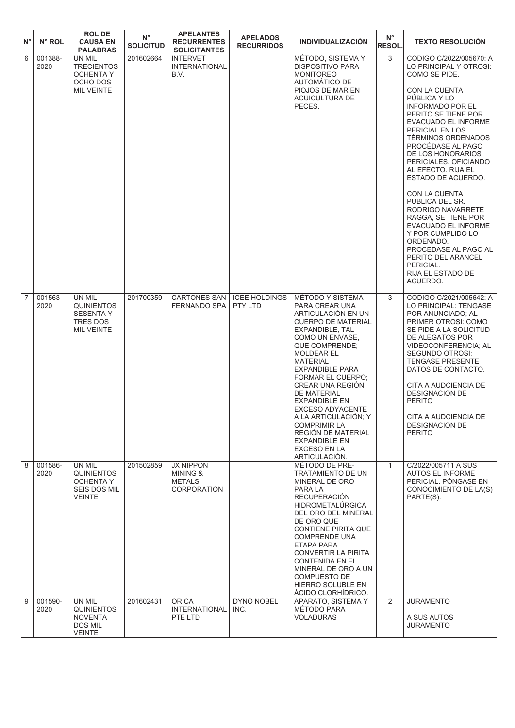| $N^{\circ}$    | N° ROL          | <b>ROL DE</b><br><b>CAUSA EN</b><br><b>PALABRAS</b>                              | $\mathsf{N}^\circ$<br><b>SOLICITUD</b> | <b>APELANTES</b><br><b>RECURRENTES</b><br><b>SOLICITANTES</b>       | <b>APELADOS</b><br><b>RECURRIDOS</b> | <b>INDIVIDUALIZACIÓN</b>                                                                                                                                                                                                                                                                                                                                                                                                                                               | $N^{\circ}$<br><b>RESOL.</b> | <b>TEXTO RESOLUCION</b>                                                                                                                                                                                                                                                                                                                                                                                                                                                                                                                                                                               |
|----------------|-----------------|----------------------------------------------------------------------------------|----------------------------------------|---------------------------------------------------------------------|--------------------------------------|------------------------------------------------------------------------------------------------------------------------------------------------------------------------------------------------------------------------------------------------------------------------------------------------------------------------------------------------------------------------------------------------------------------------------------------------------------------------|------------------------------|-------------------------------------------------------------------------------------------------------------------------------------------------------------------------------------------------------------------------------------------------------------------------------------------------------------------------------------------------------------------------------------------------------------------------------------------------------------------------------------------------------------------------------------------------------------------------------------------------------|
| 6              | 001388-<br>2020 | UN MIL<br><b>TRECIENTOS</b><br><b>OCHENTA Y</b><br>OCHO DOS<br><b>MIL VEINTE</b> | 201602664                              | <b>INTERVET</b><br><b>INTERNATIONAL</b><br>B.V.                     |                                      | MÉTODO, SISTEMA Y<br><b>DISPOSITIVO PARA</b><br><b>MONITOREO</b><br>AUTOMÁTICO DE<br>PIOJOS DE MAR EN<br>ACUICULTURA DE<br>PECES.                                                                                                                                                                                                                                                                                                                                      | 3                            | CODIGO C/2022/005670: A<br>LO PRINCIPAL Y OTROSI:<br>COMO SE PIDE.<br><b>CON LA CUENTA</b><br>PÚBLICA Y LO<br><b>INFORMADO POR EL</b><br>PERITO SE TIENE POR<br><b>EVACUADO EL INFORME</b><br>PERICIAL EN LOS<br><b>TÉRMINOS ORDENADOS</b><br>PROCÉDASE AL PAGO<br>DE LOS HONORARIOS<br>PERICIALES, OFICIANDO<br>AL EFECTO. RIJA EL<br>ESTADO DE ACUERDO.<br>CON LA CUENTA<br>PUBLICA DEL SR.<br>RODRIGO NAVARRETE<br>RAGGA, SE TIENE POR<br><b>EVACUADO EL INFORME</b><br>Y POR CUMPLIDO LO<br>ORDENADO.<br>PROCEDASE AL PAGO AL<br>PERITO DEL ARANCEL<br>PERICIAL.<br>RIJA EL ESTADO DE<br>ACUERDO. |
| $\overline{7}$ | 001563-<br>2020 | UN MIL<br><b>QUINIENTOS</b><br><b>SESENTA Y</b><br>TRES DOS<br><b>MIL VEINTE</b> | 201700359                              | <b>CARTONES SAN</b><br><b>FERNANDO SPA</b>                          | <b>ICEE HOLDINGS</b><br>PTY LTD      | MÉTODO Y SISTEMA<br>PARA CREAR UNA<br>ARTICULACIÓN EN UN<br><b>CUERPO DE MATERIAL</b><br>EXPANDIBLE, TAL<br>COMO UN ENVASE.<br><b>QUE COMPRENDE:</b><br><b>MOLDEAR EL</b><br><b>MATERIAL</b><br><b>EXPANDIBLE PARA</b><br>FORMAR EL CUERPO;<br><b>CREAR UNA REGIÓN</b><br>DE MATERIAL<br><b>EXPANDIBLE EN</b><br><b>EXCESO ADYACENTE</b><br>A LA ARTICULACIÓN; Y<br><b>COMPRIMIR LA</b><br>REGIÓN DE MATERIAL<br><b>EXPANDIBLE EN</b><br>EXCESO EN LA<br>ARTICULACIÓN. | 3                            | CODIGO C/2021/005642: A<br>LO PRINCIPAL: TENGASE<br>POR ANUNCIADO; AL<br>PRIMER OTROSI: COMO<br>SE PIDE A LA SOLICITUD<br>DE ALEGATOS POR<br>VIDEOCONFERENCIA; AL<br>SEGUNDO OTROSI:<br><b>TENGASE PRESENTE</b><br>DATOS DE CONTACTO.<br>CITA A AUDCIENCIA DE<br><b>DESIGNACION DE</b><br><b>PERITO</b><br>CITA A AUDCIENCIA DE<br><b>DESIGNACION DE</b><br><b>PERITO</b>                                                                                                                                                                                                                             |
| 8              | 001586-<br>2020 | UN MIL<br><b>QUINIENTOS</b><br><b>OCHENTA Y</b><br>SEIS DOS MIL<br><b>VEINTE</b> | 201502859                              | <b>JX NIPPON</b><br>MINING &<br><b>METALS</b><br><b>CORPORATION</b> |                                      | MÉTODO DE PRE-<br>TRATAMIENTO DE UN<br>MINERAL DE ORO<br>PARA LA<br><b>RECUPERACIÓN</b><br>HIDROMETALÚRGICA<br>DEL ORO DEL MINERAL<br>DE ORO QUE<br><b>CONTIENE PIRITA QUE</b><br><b>COMPRENDE UNA</b><br>ETAPA PARA<br>CONVERTIR LA PIRITA<br><b>CONTENIDA EN EL</b><br>MINERAL DE ORO A UN<br><b>COMPUESTO DE</b><br>HIERRO SOLUBLE EN<br>ACIDO CLORHIDRICO.                                                                                                         | $\mathbf{1}$                 | C/2022/005711 A SUS<br><b>AUTOS EL INFORME</b><br>PERICIAL. PONGASE EN<br>CONOCIMIENTO DE LA(S)<br>PARTE(S).                                                                                                                                                                                                                                                                                                                                                                                                                                                                                          |
| 9              | 001590-<br>2020 | UN MIL<br><b>QUINIENTOS</b><br><b>NOVENTA</b><br>DOS MIL<br><b>VEINTE</b>        | 201602431                              | <b>ORICA</b><br>INTERNATIONAL<br>PTE LTD                            | <b>DYNO NOBEL</b><br>INC.            | APARATO, SISTEMA Y<br>MÉTODO PARA<br><b>VOLADURAS</b>                                                                                                                                                                                                                                                                                                                                                                                                                  | $\overline{2}$               | <b>JURAMENTO</b><br>A SUS AUTOS<br>JURAMENTO                                                                                                                                                                                                                                                                                                                                                                                                                                                                                                                                                          |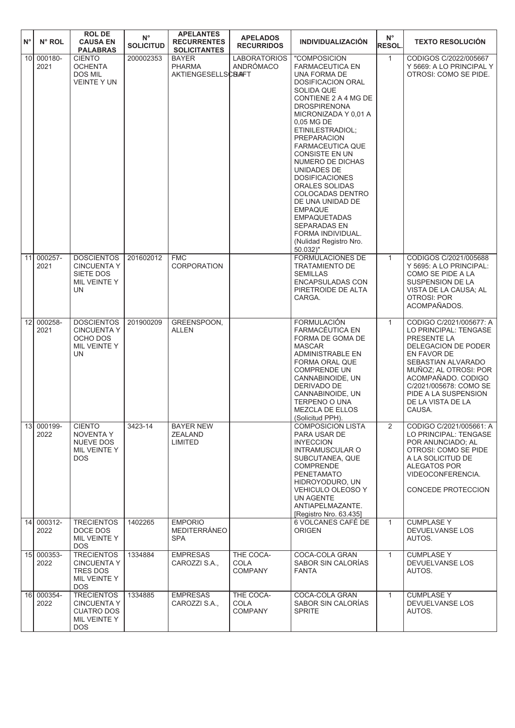| ١N° | N° ROL                             | <b>ROLDE</b><br><b>CAUSA EN</b><br><b>PALABRAS</b>                                         | $\mathsf{N}^\circ$<br><b>SOLICITUD</b> | <b>APELANTES</b><br><b>RECURRENTES</b><br><b>SOLICITANTES</b> | <b>APELADOS</b><br><b>RECURRIDOS</b>       | <b>INDIVIDUALIZACIÓN</b>                                                                                                                                                                                                                                                                                                                                                                                                                                                                                             | $N^{\circ}$<br><b>RESOL.</b> | <b>TEXTO RESOLUCIÓN</b>                                                                                                                                                                                                                                     |
|-----|------------------------------------|--------------------------------------------------------------------------------------------|----------------------------------------|---------------------------------------------------------------|--------------------------------------------|----------------------------------------------------------------------------------------------------------------------------------------------------------------------------------------------------------------------------------------------------------------------------------------------------------------------------------------------------------------------------------------------------------------------------------------------------------------------------------------------------------------------|------------------------------|-------------------------------------------------------------------------------------------------------------------------------------------------------------------------------------------------------------------------------------------------------------|
|     | 10 <sup>1</sup><br>000180-         | <b>CIENTO</b>                                                                              | 200002353                              | <b>BAYER</b>                                                  | <b>LABORATORIOS</b>                        | "COMPOSICION                                                                                                                                                                                                                                                                                                                                                                                                                                                                                                         | $\mathbf{1}$                 | CODIGOS C/2022/005667                                                                                                                                                                                                                                       |
|     | 2021                               | OCHENTA<br>DOS MIL<br><b>VEINTE Y UN</b>                                                   |                                        | <b>PHARMA</b><br><b>AKTIENGESELLSCBAFT</b>                    | ANDRÓMACO                                  | <b>FARMACEUTICA EN</b><br>UNA FORMA DE<br><b>DOSIFICACION ORAL</b><br><b>SOLIDA QUE</b><br>CONTIENE 2 A 4 MG DE<br><b>DROSPIRENONA</b><br>MICRONIZADA Y 0,01 A<br>0,05 MG DE<br>ETINILESTRADIOL;<br><b>PREPARACION</b><br><b>FARMACEUTICA QUE</b><br>CONSISTE EN UN<br>NUMERO DE DICHAS<br>UNIDADES DE<br><b>DOSIFICACIONES</b><br>ORALES SOLIDAS<br>COLOCADAS DENTRO<br>DE UNA UNIDAD DE<br><b>EMPAQUE</b><br><b>EMPAQUETADAS</b><br><b>SEPARADAS EN</b><br>FORMA INDIVIDUAL.<br>(Nulidad Registro Nro.<br>50.032)" |                              | Y 5669: A LO PRINCIPAL Y<br>OTROSI: COMO SE PIDE.                                                                                                                                                                                                           |
|     | 11 000257-<br>2021                 | <b>DOSCIENTOS</b><br><b>CINCUENTA Y</b><br>SIETE DOS<br>MIL VEINTE Y<br><b>UN</b>          | 201602012                              | <b>FMC</b><br>CORPORATION                                     |                                            | FORMULACIONES DE<br><b>TRATAMIENTO DE</b><br>SEMILLAS<br><b>ENCAPSULADAS CON</b><br>PIRETROIDE DE ALTA<br>CARGA.                                                                                                                                                                                                                                                                                                                                                                                                     | $\mathbf{1}$                 | CODIGOS C/2021/005688<br>Y 5695: A LO PRINCIPAL:<br>COMO SE PIDE A LA<br>SUSPENSION DE LA<br>VISTA DE LA CAUSA; AL<br><b>OTROSI: POR</b><br>ACOMPAÑADOS.                                                                                                    |
|     | 000258-<br>12<br>2021              | <b>DOSCIENTOS</b><br><b>CINCUENTA Y</b><br>OCHO DOS<br>MIL VEINTE Y<br>UN                  | 201900209                              | GREENSPOON.<br><b>ALLEN</b>                                   |                                            | <b>FORMULACIÓN</b><br>FARMACÉUTICA EN<br>FORMA DE GOMA DE<br><b>MASCAR</b><br><b>ADMINISTRABLE EN</b><br>FORMA ORAL QUE<br><b>COMPRENDE UN</b><br>CANNABINOIDE, UN<br>DERIVADO DE<br>CANNABINOIDE, UN<br>TERPENO O UNA<br><b>MEZCLA DE ELLOS</b><br>(Solicitud PPH).                                                                                                                                                                                                                                                 | $\mathbf{1}$                 | CODIGO C/2021/005677: A<br>LO PRINCIPAL: TENGASE<br>PRESENTE LA<br>DELEGACION DE PODER<br>EN FAVOR DE<br>SEBASTIAN ALVARADO<br>MUÑOZ; AL OTROSI: POR<br>ACOMPAÑADO, CODIGO<br>C/2021/005678: COMO SE<br>PIDE A LA SUSPENSION<br>DE LA VISTA DE LA<br>CAUSA. |
|     | 000199-<br>13 <sup>1</sup><br>2022 | <b>CIENTO</b><br><b>NOVENTA Y</b><br>NUEVE DOS<br>MIL VEINTE Y<br><b>DOS</b>               | 3423-14                                | <b>BAYER NEW</b><br><b>ZEALAND</b><br>LIMITED                 |                                            | <b>COMPOSICION LISTA</b><br>PARA USAR DE<br><b>INYECCION</b><br><b>INTRAMUSCULAR O</b><br>SUBCUTANEA, QUE<br><b>COMPRENDE</b><br>PENETAMATO<br>HIDROYODURO, UN<br>VEHICULO OLEOSO Y<br>UN AGENTE<br>ANTIAPELMAZANTE.<br>[Registro Nro. 63.435]                                                                                                                                                                                                                                                                       | $\overline{2}$               | CODIGO C/2021/005661: A<br>LO PRINCIPAL: TENGASE<br>POR ANUNCIADO; AL<br>OTROSI: COMO SE PIDE<br>A LA SOLICITUD DE<br>ALEGATOS POR<br>VIDEOCONFERENCIA.<br>CONCEDE PROTECCION                                                                               |
|     | 14 000312-<br>2022                 | <b>TRECIENTOS</b><br>DOCE DOS<br>MIL VEINTE Y<br><b>DOS</b>                                | 1402265                                | <b>EMPORIO</b><br>MEDITERRÁNEO<br><b>SPA</b>                  |                                            | 6 VOLCANES CAFÉ DE<br><b>ORIGEN</b>                                                                                                                                                                                                                                                                                                                                                                                                                                                                                  | $\mathbf{1}$                 | <b>CUMPLASE Y</b><br>DEVUELVANSE LOS<br>AUTOS.                                                                                                                                                                                                              |
|     | 15 000353-<br>2022                 | <b>TRECIENTOS</b><br><b>CINCUENTA Y</b><br>TRES DOS<br>MIL VEINTE Y<br><b>DOS</b>          | 1334884                                | <b>EMPRESAS</b><br>CAROZZI S.A.,                              | THE COCA-<br><b>COLA</b><br><b>COMPANY</b> | COCA-COLA GRAN<br>SABOR SIN CALORÍAS<br><b>FANTA</b>                                                                                                                                                                                                                                                                                                                                                                                                                                                                 | $\mathbf{1}$                 | <b>CUMPLASE Y</b><br>DEVUELVANSE LOS<br>AUTOS.                                                                                                                                                                                                              |
|     | 16 000354-<br>2022                 | <b>TRECIENTOS</b><br><b>CINCUENTA Y</b><br><b>CUATRO DOS</b><br>MIL VEINTE Y<br><b>DOS</b> | 1334885                                | <b>EMPRESAS</b><br>CAROZZI S.A.,                              | THE COCA-<br>COLA<br><b>COMPANY</b>        | COCA-COLA GRAN<br>SABOR SIN CALORÍAS<br><b>SPRITE</b>                                                                                                                                                                                                                                                                                                                                                                                                                                                                | $\mathbf{1}$                 | <b>CUMPLASE Y</b><br>DEVUELVANSE LOS<br>AUTOS.                                                                                                                                                                                                              |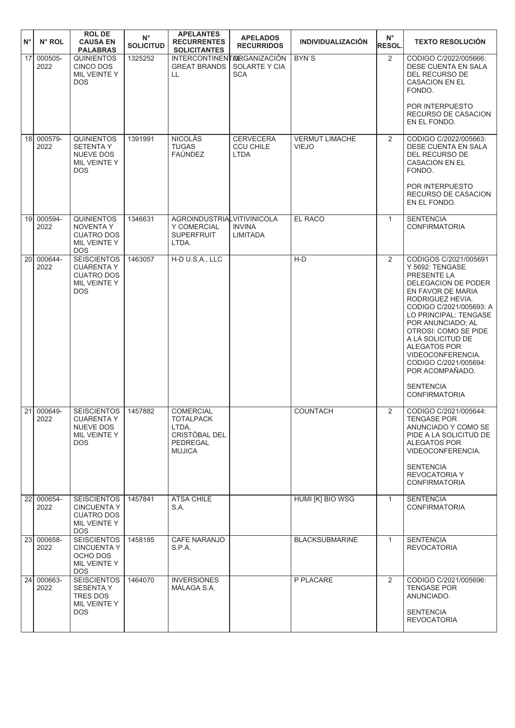| $N^{\circ}$     | N° ROL             | <b>ROL DE</b><br><b>CAUSA EN</b><br><b>PALABRAS</b>                                         | $N^{\circ}$<br><b>SOLICITUD</b> | <b>APELANTES</b><br><b>RECURRENTES</b><br><b>SOLICITANTES</b>                        | <b>APELADOS</b><br><b>RECURRIDOS</b>                | <b>INDIVIDUALIZACIÓN</b>              | $N^{\circ}$<br><b>RESOL</b> | <b>TEXTO RESOLUCIÓN</b>                                                                                                                                                                                                                                                                                                                                                           |
|-----------------|--------------------|---------------------------------------------------------------------------------------------|---------------------------------|--------------------------------------------------------------------------------------|-----------------------------------------------------|---------------------------------------|-----------------------------|-----------------------------------------------------------------------------------------------------------------------------------------------------------------------------------------------------------------------------------------------------------------------------------------------------------------------------------------------------------------------------------|
| 17              | 000505-<br>2022    | <b>QUINIENTOS</b><br>CINCO DOS<br>MIL VEINTE Y<br><b>DOS</b>                                | 1325252                         | INTERCONTINENTARGANIZACIÓN<br><b>GREAT BRANDS</b><br>LL                              | SOLARTE Y CIA<br><b>SCA</b>                         | BYN'S                                 | 2                           | CODIGO C/2022/005666:<br>DESE CUENTA EN SALA<br><b>DEL RECURSO DE</b><br><b>CASACION EN EL</b><br>FONDO.<br>POR INTERPUESTO<br>RECURSO DE CASACION<br>EN EL FONDO.                                                                                                                                                                                                                |
|                 | 18 000579-<br>2022 | <b>QUINIENTOS</b><br><b>SETENTA Y</b><br><b>NUEVE DOS</b><br>MIL VEINTE Y<br><b>DOS</b>     | 1391991                         | <b>NICOLÁS</b><br><b>TUGAS</b><br><b>FAÚNDEZ</b>                                     | <b>CERVECERA</b><br><b>CCU CHILE</b><br><b>LTDA</b> | <b>VERMUT LIMACHE</b><br><b>VIEJO</b> | 2                           | CODIGO C/2022/005663:<br><b>DESE CUENTA EN SALA</b><br><b>DEL RECURSO DE</b><br><b>CASACION EN EL</b><br>FONDO.<br>POR INTERPUESTO<br>RECURSO DE CASACION<br>EN EL FONDO.                                                                                                                                                                                                         |
| 19 <sup>1</sup> | 000594-<br>2022    | <b>QUINIENTOS</b><br>NOVENTA Y<br><b>CUATRO DOS</b><br>MIL VEINTE Y<br><b>DOS</b>           | 1346631                         | AGROINDUSTRIALVITIVINICOLA<br>Y COMERCIAL<br><b>SUPERFRUIT</b><br>LTDA.              | <b>INVINA</b><br>LIMITADA                           | EL RACO                               | $\mathbf{1}$                | <b>SENTENCIA</b><br><b>CONFIRMATORIA</b>                                                                                                                                                                                                                                                                                                                                          |
| <b>20</b>       | 000644-<br>2022    | <b>SEISCIENTOS</b><br><b>CUARENTA Y</b><br><b>CUATRO DOS</b><br>MIL VEINTE Y<br><b>DOS</b>  | 1463057                         | H-D U.S.A., LLC                                                                      |                                                     | $H-D$                                 | 2                           | CODIGOS C/2021/005691<br>Y 5692: TENGASE<br>PRESENTE LA<br><b>DELEGACION DE PODER</b><br>EN FAVOR DE MARIA<br>RODRIGUEZ HEVIA.<br>CODIGO C/2021/005693: A<br>LO PRINCIPAL: TENGASE<br>POR ANUNCIADO; AL<br>OTROSI: COMO SE PIDE<br>A LA SOLICITUD DE<br>ALEGATOS POR<br>VIDEOCONFERENCIA.<br>CODIGO C/2021/005694:<br>POR ACOMPAÑADO.<br><b>SENTENCIA</b><br><b>CONFIRMATORIA</b> |
|                 | 21 000649-<br>2022 | <b>SEISCIENTOS</b><br><b>CUARENTA Y</b><br>NUEVE DOS<br>MIL VEINTE Y<br><b>DOS</b>          | 1457882                         | <b>COMERCIAL</b><br>TOTALPACK<br>LTDA.<br>CRISTÓBAL DEL<br>PEDREGAL<br><b>MUJICA</b> |                                                     | <b>COUNTACH</b>                       | 2                           | CODIGO C/2021/005644:<br>TENGASE POR<br>ANUNCIADO Y COMO SE<br>PIDE A LA SOLICITUD DE<br>ALEGATOS POR<br>VIDEOCONFERENCIA.<br><b>SENTENCIA</b><br><b>REVOCATORIA Y</b><br><b>CONFIRMATORIA</b>                                                                                                                                                                                    |
|                 | 22 000654-<br>2022 | <b>SEISCIENTOS</b><br><b>CINCUENTA Y</b><br><b>CUATRO DOS</b><br>MIL VEINTE Y<br><b>DOS</b> | 1457841                         | <b>ATSA CHILE</b><br>S.A.                                                            |                                                     | HUMI [K] BIO WSG                      | $\mathbf{1}$                | <b>SENTENCIA</b><br><b>CONFIRMATORIA</b>                                                                                                                                                                                                                                                                                                                                          |
|                 | 23 000658-<br>2022 | <b>SEISCIENTOS</b><br><b>CINCUENTA Y</b><br>OCHO DOS<br>MIL VEINTE Y<br><b>DOS</b>          | 1458185                         | <b>CAFE NARANJO</b><br>S.P.A.                                                        |                                                     | <b>BLACKSUBMARINE</b>                 | $\mathbf{1}$                | <b>SENTENCIA</b><br><b>REVOCATORIA</b>                                                                                                                                                                                                                                                                                                                                            |
|                 | 24 000663-<br>2022 | <b>SEISCIENTOS</b><br><b>SESENTA Y</b><br><b>TRES DOS</b><br>MIL VEINTE Y<br><b>DOS</b>     | 1464070                         | <b>INVERSIONES</b><br>MÁLAGA S.A.                                                    |                                                     | P PLACARE                             | $\overline{2}$              | CODIGO C/2021/005696:<br><b>TENGASE POR</b><br>ANUNCIADO.<br><b>SENTENCIA</b><br><b>REVOCATORIA</b>                                                                                                                                                                                                                                                                               |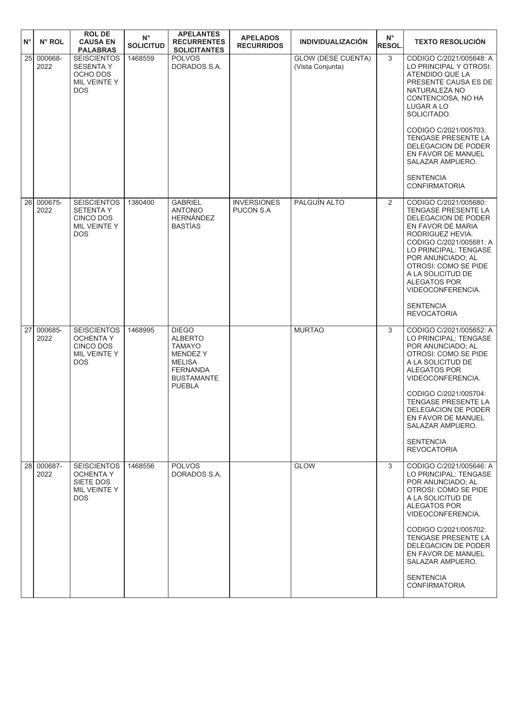| ١N° | N° ROL             | <b>ROL DE</b><br><b>CAUSA EN</b><br><b>PALABRAS</b>                                      | $N^{\circ}$<br><b>SOLICITUD</b> | <b>APELANTES</b><br><b>RECURRENTES</b><br><b>SOLICITANTES</b>                                                                               | <b>APELADOS</b><br><b>RECURRIDOS</b>   | <b>INDIVIDUALIZACIÓN</b>                      | $N^{\circ}$<br><b>RESOL.</b> | <b>TEXTO RESOLUCIÓN</b>                                                                                                                                                                                                                                                                                                   |
|-----|--------------------|------------------------------------------------------------------------------------------|---------------------------------|---------------------------------------------------------------------------------------------------------------------------------------------|----------------------------------------|-----------------------------------------------|------------------------------|---------------------------------------------------------------------------------------------------------------------------------------------------------------------------------------------------------------------------------------------------------------------------------------------------------------------------|
| 25  | 000668-<br>2022    | <b>SEISCIENTOS</b><br><b>SESENTA Y</b><br>OCHO DOS<br>MIL VEINTE Y<br><b>DOS</b>         | 1468559                         | <b>POLVOS</b><br>DORADOS S.A.                                                                                                               |                                        | <b>GLOW (DESE CUENTA)</b><br>(Vista Conjunta) | 3                            | CODIGO C/2021/005648: A<br>LO PRINCIPAL Y OTROSI:<br>ATENDIDO QUE LA<br>PRESENTE CAUSA ES DE<br>NATURALEZA NO<br>CONTENCIOSA, NO HA<br>LUGAR A LO<br>SOLICITADO.                                                                                                                                                          |
|     |                    |                                                                                          |                                 |                                                                                                                                             |                                        |                                               |                              | CODIGO C/2021/005703:<br><b>TENGASE PRESENTE LA</b><br>DELEGACION DE PODER<br>EN FAVOR DE MANUEL<br>SALAZAR AMPUERO.                                                                                                                                                                                                      |
|     |                    |                                                                                          |                                 |                                                                                                                                             |                                        |                                               |                              | <b>SENTENCIA</b><br><b>CONFIRMATORIA</b>                                                                                                                                                                                                                                                                                  |
| 26  | 000675-<br>2022    | <b>SEISCIENTOS</b><br><b>SETENTA Y</b><br><b>CINCO DOS</b><br>MIL VEINTE Y<br><b>DOS</b> | 1380400                         | <b>GABRIEL</b><br><b>ANTONIO</b><br><b>HERNÁNDEZ</b><br><b>BASTÍAS</b>                                                                      | <b>INVERSIONES</b><br><b>PUCON S.A</b> | PALGUÍN ALTO                                  | 2                            | CODIGO C/2021/005680:<br>TENGASE PRESENTE LA<br>DELEGACION DE PODER<br>EN FAVOR DE MARIA<br>RODRIGUEZ HEVIA.<br>CODIGO C/2021/005681: A<br>LO PRINCIPAL: TENGASE<br>POR ANUNCIADO; AL<br>OTROSI: COMO SE PIDE<br>A LA SOLICITUD DE<br>ALEGATOS POR<br>VIDEOCONFERENCIA.<br><b>SENTENCIA</b>                               |
|     |                    |                                                                                          |                                 |                                                                                                                                             |                                        |                                               |                              | <b>REVOCATORIA</b>                                                                                                                                                                                                                                                                                                        |
| 27  | 000685-<br>2022    | <b>SEISCIENTOS</b><br><b>OCHENTA Y</b><br>CINCO DOS<br>MIL VEINTE Y<br><b>DOS</b>        | 1468995                         | <b>DIEGO</b><br><b>ALBERTO</b><br><b>TAMAYO</b><br><b>MENDEZY</b><br><b>MELISA</b><br><b>FERNANDA</b><br><b>BUSTAMANTE</b><br><b>PUEBLA</b> |                                        | <b>MURTAO</b>                                 | 3                            | CODIGO C/2021/005652: A<br>LO PRINCIPAL: TENGASE<br>POR ANUNCIADO; AL<br>OTROSI: COMO SE PIDE<br>A LA SOLICITUD DE<br><b>ALEGATOS POR</b><br>VIDEOCONFERENCIA.<br>CODIGO C/2021/005704:<br>TENGASE PRESENTE LA<br>DELEGACION DE PODER<br>EN FAVOR DE MANUEL<br>SALAZAR AMPUERO.<br><b>SENTENCIA</b><br><b>REVOCATORIA</b> |
|     | 28 000687-<br>2022 | <b>SEISCIENTOS</b><br><b>OCHENTA Y</b>                                                   | 1468556                         | <b>POLVOS</b><br>DORADOS S.A.                                                                                                               |                                        | <b>GLOW</b>                                   | 3                            | CODIGO C/2021/005646: A<br>LO PRINCIPAL: TENGASE                                                                                                                                                                                                                                                                          |
|     |                    | SIETE DOS<br>MIL VEINTE Y<br>DOS.                                                        |                                 |                                                                                                                                             |                                        |                                               |                              | POR ANUNCIADO; AL<br>OTROSI: COMO SE PIDE<br>A LA SOLICITUD DE<br><b>ALEGATOS POR</b><br>VIDEOCONFERENCIA.<br>CODIGO C/2021/005702:<br>TENGASE PRESENTE LA<br>DELEGACION DE PODER<br>EN FAVOR DE MANUEL<br>SALAZAR AMPUERO.<br><b>SENTENCIA</b><br><b>CONFIRMATORIA</b>                                                   |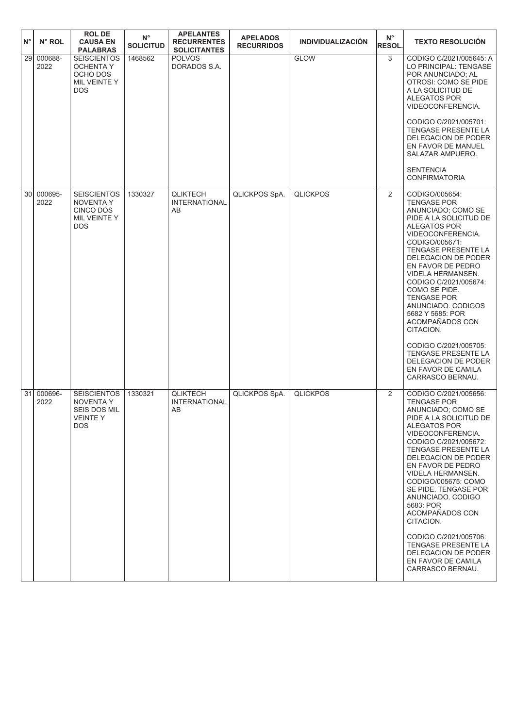| $N^{\circ}$     | N° ROL          | <b>ROL DE</b><br><b>CAUSA EN</b><br><b>PALABRAS</b>                                     | $N^{\circ}$<br><b>SOLICITUD</b> | <b>APELANTES</b><br><b>RECURRENTES</b><br><b>SOLICITANTES</b> | <b>APELADOS</b><br><b>RECURRIDOS</b> | <b>INDIVIDUALIZACIÓN</b> | $N^{\circ}$<br><b>RESOL.</b> | <b>TEXTO RESOLUCIÓN</b>                                                                                                                                                                                                                                                                                                                                                                                                                                                                               |
|-----------------|-----------------|-----------------------------------------------------------------------------------------|---------------------------------|---------------------------------------------------------------|--------------------------------------|--------------------------|------------------------------|-------------------------------------------------------------------------------------------------------------------------------------------------------------------------------------------------------------------------------------------------------------------------------------------------------------------------------------------------------------------------------------------------------------------------------------------------------------------------------------------------------|
| 29              | 000688-<br>2022 | <b>SEISCIENTOS</b><br><b>OCHENTA Y</b><br>OCHO DOS<br>MIL VEINTE Y<br><b>DOS</b>        | 1468562                         | <b>POLVOS</b><br>DORADOS S.A.                                 |                                      | <b>GLOW</b>              | 3                            | CODIGO C/2021/005645: A<br>LO PRINCIPAL: TENGASE<br>POR ANUNCIADO: AL<br>OTROSI: COMO SE PIDE<br>A LA SOLICITUD DE<br><b>ALEGATOS POR</b><br>VIDEOCONFERENCIA.<br>CODIGO C/2021/005701:<br>TENGASE PRESENTE LA<br>DELEGACION DE PODER<br>EN FAVOR DE MANUEL<br>SALAZAR AMPUERO.<br><b>SENTENCIA</b><br><b>CONFIRMATORIA</b>                                                                                                                                                                           |
| 30 <sup>1</sup> | 000695-<br>2022 | <b>SEISCIENTOS</b><br><b>NOVENTA Y</b><br>CINCO DOS<br>MIL VEINTE Y<br><b>DOS</b>       | 1330327                         | <b>QLIKTECH</b><br><b>INTERNATIONAL</b><br>AB                 | QLICKPOS SpA.                        | <b>QLICKPOS</b>          | 2                            | CODIGO/005654:<br><b>TENGASE POR</b><br>ANUNCIADO; COMO SE<br>PIDE A LA SOLICITUD DE<br>ALEGATOS POR<br>VIDEOCONFERENCIA.<br>CODIGO/005671:<br>TENGASE PRESENTE LA<br>DELEGACION DE PODER<br>EN FAVOR DE PEDRO<br>VIDELA HERMANSEN.<br>CODIGO C/2021/005674:<br>COMO SE PIDE.<br><b>TENGASE POR</b><br>ANUNCIADO. CODIGOS<br>5682 Y 5685: POR<br>ACOMPAÑADOS CON<br>CITACION.<br>CODIGO C/2021/005705:<br><b>TENGASE PRESENTE LA</b><br>DELEGACION DE PODER<br>EN FAVOR DE CAMILA<br>CARRASCO BERNAU. |
| 31              | 000696-<br>2022 | <b>SEISCIENTOS</b><br><b>NOVENTA Y</b><br><b>SEIS DOS MIL</b><br><b>VEINTEY</b><br>DOS. | 1330321                         | <b>QLIKTECH</b><br><b>INTERNATIONAL</b><br>AB                 | QLICKPOS SpA.                        | <b>QLICKPOS</b>          | 2                            | CODIGO C/2021/005656:<br><b>TENGASE POR</b><br>ANUNCIADO; COMO SE<br>PIDE A LA SOLICITUD DE<br>ALEGATOS POR<br>VIDEOCONFERENCIA.<br>CODIGO C/2021/005672:<br><b>TENGASE PRESENTE LA</b><br>DELEGACION DE PODER<br>EN FAVOR DE PEDRO<br>VIDELA HERMANSEN.<br>CODIGO/005675: COMO<br>SE PIDE. TENGASE POR<br>ANUNCIADO. CODIGO<br>5683: POR<br>ACOMPAÑADOS CON<br>CITACION.<br>CODIGO C/2021/005706:<br><b>TENGASE PRESENTE LA</b><br>DELEGACION DE PODER<br>EN FAVOR DE CAMILA<br>CARRASCO BERNAU.     |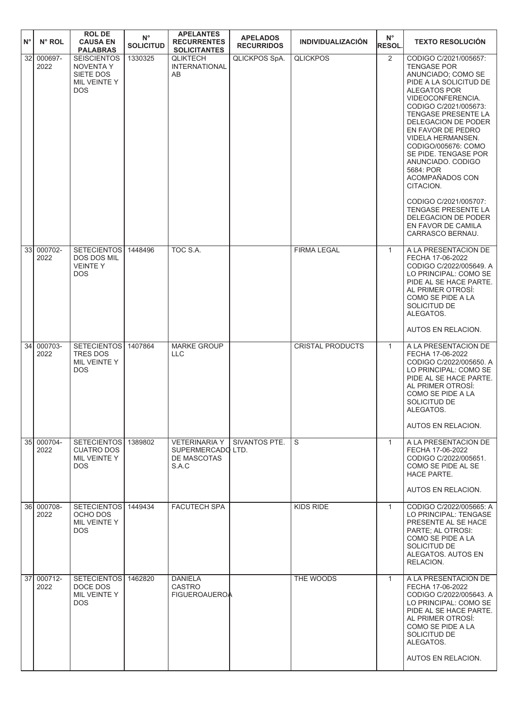| $N^{\circ}$     | N° ROL             | <b>ROLDE</b><br><b>CAUSA EN</b><br><b>PALABRAS</b>                                | $N^{\circ}$<br><b>SOLICITUD</b> | <b>APELANTES</b><br><b>RECURRENTES</b><br><b>SOLICITANTES</b>     | <b>APELADOS</b><br><b>RECURRIDOS</b> | <b>INDIVIDUALIZACIÓN</b> | $N^{\circ}$<br><b>RESOL.</b> | <b>TEXTO RESOLUCIÓN</b>                                                                                                                                                                                                                                                                                                                                                                                                                                                                                  |
|-----------------|--------------------|-----------------------------------------------------------------------------------|---------------------------------|-------------------------------------------------------------------|--------------------------------------|--------------------------|------------------------------|----------------------------------------------------------------------------------------------------------------------------------------------------------------------------------------------------------------------------------------------------------------------------------------------------------------------------------------------------------------------------------------------------------------------------------------------------------------------------------------------------------|
| 32              | 000697-<br>2022    | <b>SEISCIENTOS</b><br><b>NOVENTA Y</b><br>SIETE DOS<br>MIL VEINTE Y<br><b>DOS</b> | 1330325                         | <b>QLIKTECH</b><br><b>INTERNATIONAL</b><br>AB                     | QLICKPOS SpA.                        | <b>QLICKPOS</b>          | 2                            | CODIGO C/2021/005657:<br><b>TENGASE POR</b><br>ANUNCIADO; COMO SE<br>PIDE A LA SOLICITUD DE<br>ALEGATOS POR<br>VIDEOCONFERENCIA.<br>CODIGO C/2021/005673:<br>TENGASE PRESENTE LA<br><b>DELEGACION DE PODER</b><br>EN FAVOR DE PEDRO<br><b>VIDELA HERMANSEN.</b><br>CODIGO/005676: COMO<br>SE PIDE. TENGASE POR<br>ANUNCIADO. CODIGO<br>5684: POR<br>ACOMPAÑADOS CON<br>CITACION.<br>CODIGO C/2021/005707:<br>TENGASE PRESENTE LA<br><b>DELEGACION DE PODER</b><br>EN FAVOR DE CAMILA<br>CARRASCO BERNAU. |
| 33I             | 000702-<br>2022    | <b>SETECIENTOS</b><br>DOS DOS MIL<br><b>VEINTEY</b><br><b>DOS</b>                 | 1448496                         | TOC S.A.                                                          |                                      | <b>FIRMA LEGAL</b>       | $\mathbf{1}$                 | A LA PRESENTACION DE<br>FECHA 17-06-2022<br>CODIGO C/2022/005649. A<br>LO PRINCIPAL: COMO SE<br>PIDE AL SE HACE PARTE.<br>AL PRIMER OTROSI:<br>COMO SE PIDE A LA<br>SOLICITUD DE<br>ALEGATOS.                                                                                                                                                                                                                                                                                                            |
| 34 <sup>1</sup> | 000703-            | SETECIENTOS                                                                       | 1407864                         | <b>MARKE GROUP</b>                                                |                                      | <b>CRISTAL PRODUCTS</b>  | $\mathbf{1}$                 | AUTOS EN RELACION.<br>A LA PRESENTACION DE                                                                                                                                                                                                                                                                                                                                                                                                                                                               |
|                 | 2022               | <b>TRES DOS</b><br>MIL VEINTE Y<br><b>DOS</b>                                     |                                 | <b>LLC</b>                                                        |                                      |                          |                              | FECHA 17-06-2022<br>CODIGO C/2022/005650. A<br>LO PRINCIPAL: COMO SE<br>PIDE AL SE HACE PARTE.<br>AL PRIMER OTROSI:<br>COMO SE PIDE A LA<br>SOLICITUD DE<br>ALEGATOS.<br>AUTOS EN RELACION.                                                                                                                                                                                                                                                                                                              |
|                 | 35 000704-<br>2022 | <b>SETECIENTOSI</b><br><b>CUATRO DOS</b><br>MIL VEINTE Y<br><b>DOS</b>            | 1389802                         | <b>VETERINARIA Y</b><br>SUPERMERCADO LTD.<br>DE MASCOTAS<br>S.A.C | SIVANTOS PTE.                        | S                        | $\mathbf{1}$                 | A LA PRESENTACION DE<br>FECHA 17-06-2022<br>CODIGO C/2022/005651.<br>COMO SE PIDE AL SE<br><b>HACE PARTE.</b>                                                                                                                                                                                                                                                                                                                                                                                            |
|                 | 36 000708-         | SETECIENTOS 1449434                                                               |                                 | <b>FACUTECH SPA</b>                                               |                                      | KIDS RIDE                | $\mathbf{1}$                 | AUTOS EN RELACION.<br>CODIGO C/2022/005665: A                                                                                                                                                                                                                                                                                                                                                                                                                                                            |
|                 | 2022               | OCHO DOS<br>MIL VEINTE Y<br><b>DOS</b>                                            |                                 |                                                                   |                                      |                          |                              | LO PRINCIPAL: TENGASE<br>PRESENTE AL SE HACE<br>PARTE; AL OTROSI:<br>COMO SE PIDE A LA<br>SOLICITUD DE<br>ALEGATOS. AUTOS EN<br>RELACION.                                                                                                                                                                                                                                                                                                                                                                |
| 37 <sup>1</sup> | 000712-<br>2022    | SETECIENTOS 1462820<br>DOCE DOS<br>MIL VEINTE Y<br><b>DOS</b>                     |                                 | <b>DANIELA</b><br>CASTRO<br><b>FIGUEROAUEROA</b>                  |                                      | THE WOODS                | $\mathbf{1}$                 | A LA PRESENTACION DE<br>FECHA 17-06-2022<br>CODIGO C/2022/005643. A<br>LO PRINCIPAL: COMO SE<br>PIDE AL SE HACE PARTE.<br>AL PRIMER OTROSÍ:<br>COMO SE PIDE A LA<br>SOLICITUD DE<br>ALEGATOS.<br>AUTOS EN RELACION.                                                                                                                                                                                                                                                                                      |